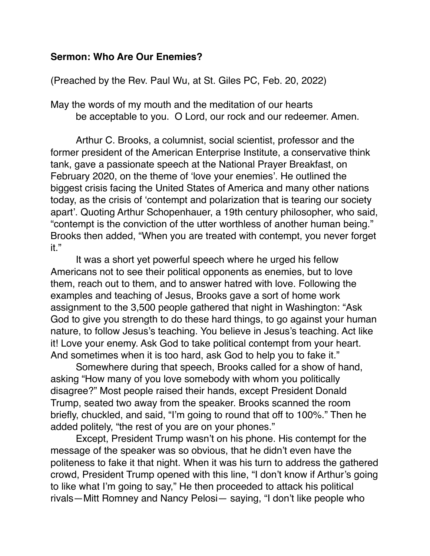## **Sermon: Who Are Our Enemies?**

(Preached by the Rev. Paul Wu, at St. Giles PC, Feb. 20, 2022)

May the words of my mouth and the meditation of our hearts be acceptable to you. O Lord, our rock and our redeemer. Amen.

Arthur C. Brooks, a columnist, social scientist, professor and the former president of the American Enterprise Institute, a conservative think tank, gave a passionate speech at the National Prayer Breakfast, on February 2020, on the theme of 'love your enemies'. He outlined the biggest crisis facing the United States of America and many other nations today, as the crisis of 'contempt and polarization that is tearing our society apart'. Quoting Arthur Schopenhauer, a 19th century philosopher, who said, "contempt is the conviction of the utter worthless of another human being." Brooks then added, "When you are treated with contempt, you never forget it."

It was a short yet powerful speech where he urged his fellow Americans not to see their political opponents as enemies, but to love them, reach out to them, and to answer hatred with love. Following the examples and teaching of Jesus, Brooks gave a sort of home work assignment to the 3,500 people gathered that night in Washington: "Ask God to give you strength to do these hard things, to go against your human nature, to follow Jesus's teaching. You believe in Jesus's teaching. Act like it! Love your enemy. Ask God to take political contempt from your heart. And sometimes when it is too hard, ask God to help you to fake it."

Somewhere during that speech, Brooks called for a show of hand, asking "How many of you love somebody with whom you politically disagree?" Most people raised their hands, except President Donald Trump, seated two away from the speaker. Brooks scanned the room briefly, chuckled, and said, "I'm going to round that off to 100%." Then he added politely, "the rest of you are on your phones."

Except, President Trump wasn't on his phone. His contempt for the message of the speaker was so obvious, that he didn't even have the politeness to fake it that night. When it was his turn to address the gathered crowd, President Trump opened with this line, "I don't know if Arthur's going to like what I'm going to say," He then proceeded to attack his political rivals—Mitt Romney and Nancy Pelosi— saying, "I don't like people who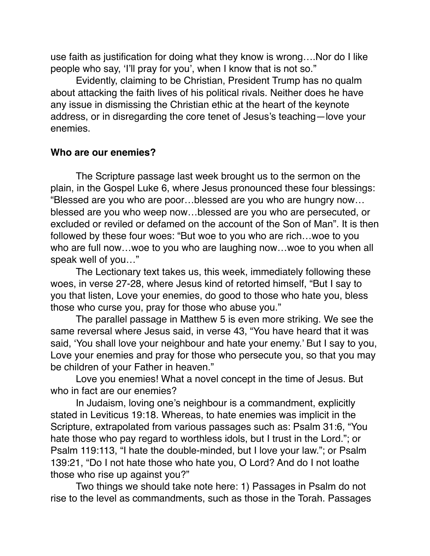use faith as justification for doing what they know is wrong….Nor do I like people who say, 'I'll pray for you', when I know that is not so."

Evidently, claiming to be Christian, President Trump has no qualm about attacking the faith lives of his political rivals. Neither does he have any issue in dismissing the Christian ethic at the heart of the keynote address, or in disregarding the core tenet of Jesus's teaching—love your enemies.

## **Who are our enemies?**

The Scripture passage last week brought us to the sermon on the plain, in the Gospel Luke 6, where Jesus pronounced these four blessings: "Blessed are you who are poor…blessed are you who are hungry now… blessed are you who weep now…blessed are you who are persecuted, or excluded or reviled or defamed on the account of the Son of Man". It is then followed by these four woes: "But woe to you who are rich…woe to you who are full now…woe to you who are laughing now…woe to you when all speak well of you…"

The Lectionary text takes us, this week, immediately following these woes, in verse 27-28, where Jesus kind of retorted himself, "But I say to you that listen, Love your enemies, do good to those who hate you, bless those who curse you, pray for those who abuse you."

The parallel passage in Matthew 5 is even more striking. We see the same reversal where Jesus said, in verse 43, "You have heard that it was said, 'You shall love your neighbour and hate your enemy.' But I say to you, Love your enemies and pray for those who persecute you, so that you may be children of your Father in heaven."

Love you enemies! What a novel concept in the time of Jesus. But who in fact are our enemies?

In Judaism, loving one's neighbour is a commandment, explicitly stated in Leviticus 19:18. Whereas, to hate enemies was implicit in the Scripture, extrapolated from various passages such as: Psalm 31:6, "You hate those who pay regard to worthless idols, but I trust in the Lord."; or Psalm 119:113, "I hate the double-minded, but I love your law."; or Psalm 139:21, "Do I not hate those who hate you, O Lord? And do I not loathe those who rise up against you?"

Two things we should take note here: 1) Passages in Psalm do not rise to the level as commandments, such as those in the Torah. Passages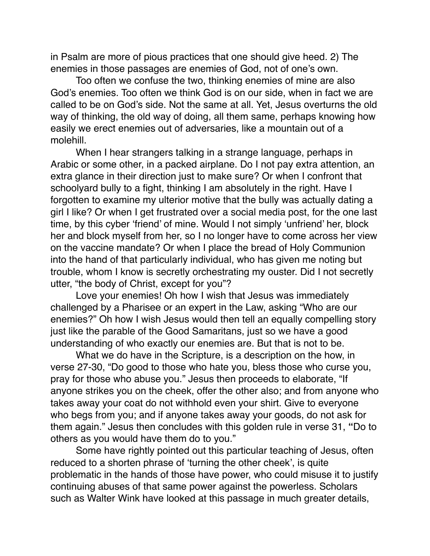in Psalm are more of pious practices that one should give heed. 2) The enemies in those passages are enemies of God, not of one's own.

Too often we confuse the two, thinking enemies of mine are also God's enemies. Too often we think God is on our side, when in fact we are called to be on God's side. Not the same at all. Yet, Jesus overturns the old way of thinking, the old way of doing, all them same, perhaps knowing how easily we erect enemies out of adversaries, like a mountain out of a molehill.

When I hear strangers talking in a strange language, perhaps in Arabic or some other, in a packed airplane. Do I not pay extra attention, an extra glance in their direction just to make sure? Or when I confront that schoolyard bully to a fight, thinking I am absolutely in the right. Have I forgotten to examine my ulterior motive that the bully was actually dating a girl I like? Or when I get frustrated over a social media post, for the one last time, by this cyber 'friend' of mine. Would I not simply 'unfriend' her, block her and block myself from her, so I no longer have to come across her view on the vaccine mandate? Or when I place the bread of Holy Communion into the hand of that particularly individual, who has given me noting but trouble, whom I know is secretly orchestrating my ouster. Did I not secretly utter, "the body of Christ, except for you"?

Love your enemies! Oh how I wish that Jesus was immediately challenged by a Pharisee or an expert in the Law, asking "Who are our enemies?" Oh how I wish Jesus would then tell an equally compelling story just like the parable of the Good Samaritans, just so we have a good understanding of who exactly our enemies are. But that is not to be.

What we do have in the Scripture, is a description on the how, in verse 27-30, "Do good to those who hate you, bless those who curse you, pray for those who abuse you." Jesus then proceeds to elaborate, "If anyone strikes you on the cheek, offer the other also; and from anyone who takes away your coat do not withhold even your shirt. Give to everyone who begs from you; and if anyone takes away your goods, do not ask for them again." Jesus then concludes with this golden rule in verse 31, **"**Do to others as you would have them do to you."

Some have rightly pointed out this particular teaching of Jesus, often reduced to a shorten phrase of 'turning the other cheek', is quite problematic in the hands of those have power, who could misuse it to justify continuing abuses of that same power against the powerless. Scholars such as Walter Wink have looked at this passage in much greater details,